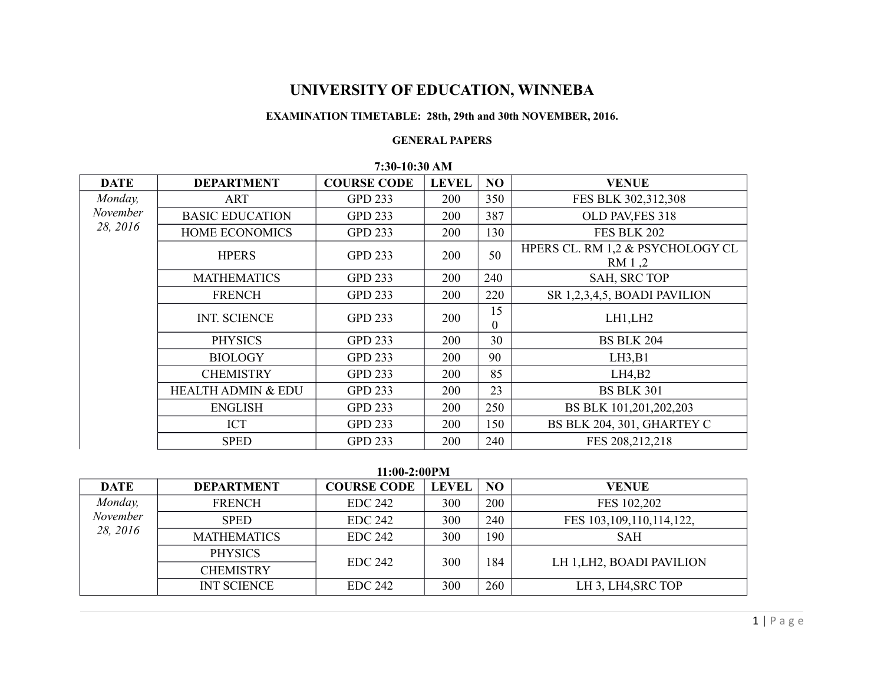# **UNIVERSITY OF EDUCATION, WINNEBA**

## **EXAMINATION TIMETABLE: 28th, 29th and 30th NOVEMBER, 2016.**

#### **GENERAL PAPERS**

|             |                               | 1.00110.0011111    |              |           |                                            |
|-------------|-------------------------------|--------------------|--------------|-----------|--------------------------------------------|
| <b>DATE</b> | <b>DEPARTMENT</b>             | <b>COURSE CODE</b> | <b>LEVEL</b> | <b>NO</b> | <b>VENUE</b>                               |
| Monday,     | ART                           | <b>GPD 233</b>     | 200          | 350       | FES BLK 302,312,308                        |
| November    | <b>BASIC EDUCATION</b>        | <b>GPD 233</b>     | <b>200</b>   | 387       | OLD PAV, FES 318                           |
| 28, 2016    | <b>HOME ECONOMICS</b>         | <b>GPD 233</b>     | 200          | 130       | <b>FES BLK 202</b>                         |
|             | <b>HPERS</b>                  | <b>GPD 233</b>     | 200          | 50        | HPERS CL. RM 1,2 & PSYCHOLOGY CL<br>RM 1,2 |
|             | <b>MATHEMATICS</b>            | <b>GPD 233</b>     | 200          | 240       | SAH, SRC TOP                               |
|             | <b>FRENCH</b>                 | <b>GPD 233</b>     | 200          | 220       | SR 1,2,3,4,5, BOADI PAVILION               |
|             | <b>INT. SCIENCE</b>           | <b>GPD 233</b>     | 200          | 15<br>0   | LH1, LH2                                   |
|             | <b>PHYSICS</b>                | <b>GPD 233</b>     | 200          | 30        | <b>BS BLK 204</b>                          |
|             | <b>BIOLOGY</b>                | <b>GPD 233</b>     | 200          | 90        | LH3,B1                                     |
|             | <b>CHEMISTRY</b>              | <b>GPD 233</b>     | 200          | 85        | LH4,B2                                     |
|             | <b>HEALTH ADMIN &amp; EDU</b> | <b>GPD 233</b>     | 200          | 23        | <b>BS BLK 301</b>                          |
|             | <b>ENGLISH</b>                | <b>GPD 233</b>     | 200          | 250       | BS BLK 101,201,202,203                     |
|             | <b>ICT</b>                    | <b>GPD 233</b>     | 200          | 150       | BS BLK 204, 301, GHARTEY C                 |
|             | <b>SPED</b>                   | <b>GPD 233</b>     | 200          | 240       | FES 208, 212, 218                          |

### **7:30-10:30 AM**

**11:00-2:00PM**

|             |                    | 11.00-2.001 111    |              |           |                              |
|-------------|--------------------|--------------------|--------------|-----------|------------------------------|
| <b>DATE</b> | <b>DEPARTMENT</b>  | <b>COURSE CODE</b> | <b>LEVEL</b> | <b>NO</b> | <b>VENUE</b>                 |
| Monday,     | <b>FRENCH</b>      | <b>EDC 242</b>     | 300          | 200       | FES 102,202                  |
| November    | <b>SPED</b>        | <b>EDC 242</b>     | 300          | 240       | FES 103, 109, 110, 114, 122, |
| 28, 2016    | <b>MATHEMATICS</b> | <b>EDC 242</b>     | 300          | 190       | <b>SAH</b>                   |
|             | <b>PHYSICS</b>     | <b>EDC 242</b>     | 300          | 184       | LH 1, LH2, BOADI PAVILION    |
|             | <b>CHEMISTRY</b>   |                    |              |           |                              |
|             | <b>INT SCIENCE</b> | <b>EDC 242</b>     | 300          | 260       | LH 3, LH4, SRC TOP           |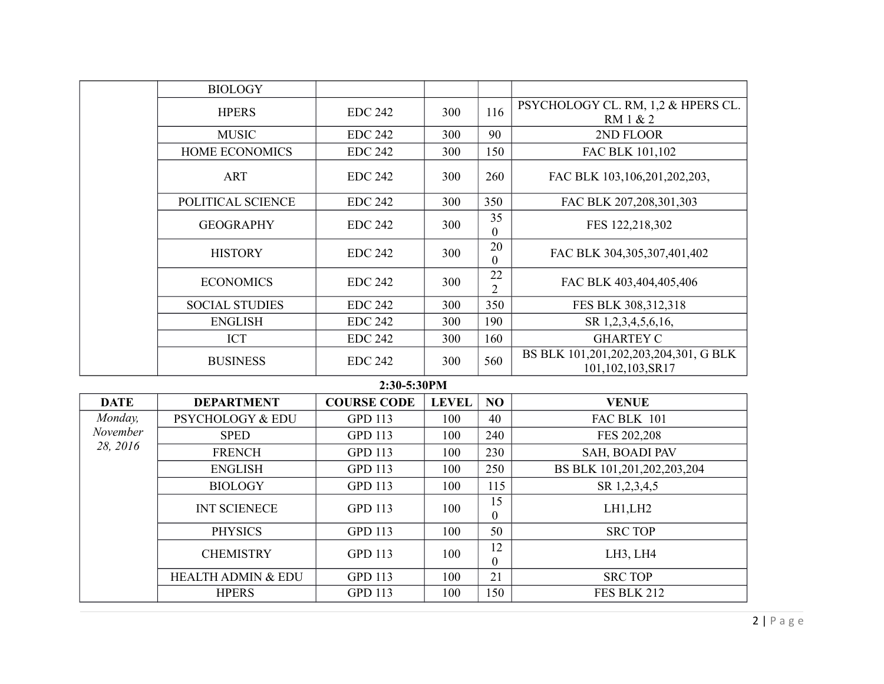|             | <b>BIOLOGY</b>               |                    |              |                      |                                                           |
|-------------|------------------------------|--------------------|--------------|----------------------|-----------------------------------------------------------|
|             | <b>HPERS</b>                 | <b>EDC 242</b>     | 300          | 116                  | PSYCHOLOGY CL. RM, 1,2 & HPERS CL.<br>RM 1 & 2            |
|             | <b>MUSIC</b>                 | <b>EDC 242</b>     | 300          | 90                   | 2ND FLOOR                                                 |
|             | HOME ECONOMICS               | <b>EDC 242</b>     | 300          | 150                  | FAC BLK 101,102                                           |
|             | <b>ART</b>                   | <b>EDC 242</b>     | 300          | 260                  | FAC BLK 103,106,201,202,203,                              |
|             | POLITICAL SCIENCE            | <b>EDC 242</b>     | 300          | 350                  | FAC BLK 207,208,301,303                                   |
|             | <b>GEOGRAPHY</b>             | <b>EDC 242</b>     | 300          | 35<br>$\theta$       | FES 122,218,302                                           |
|             | <b>HISTORY</b>               | <b>EDC 242</b>     | 300          | 20<br>$\theta$       | FAC BLK 304,305,307,401,402                               |
|             | <b>ECONOMICS</b>             | <b>EDC 242</b>     | 300          | 22<br>$\overline{2}$ | FAC BLK 403,404,405,406                                   |
|             | <b>SOCIAL STUDIES</b>        | <b>EDC 242</b>     | 300          | 350                  | FES BLK 308,312,318                                       |
|             | <b>ENGLISH</b>               | <b>EDC 242</b>     | 300          | 190                  | SR 1,2,3,4,5,6,16,                                        |
|             | <b>ICT</b>                   | <b>EDC 242</b>     | 300          | 160                  | <b>GHARTEY C</b>                                          |
|             | <b>BUSINESS</b>              | <b>EDC 242</b>     | 300          | 560                  | BS BLK 101,201,202,203,204,301, G BLK<br>101,102,103,SR17 |
|             |                              | 2:30-5:30PM        |              |                      |                                                           |
| <b>DATE</b> | <b>DEPARTMENT</b>            | <b>COURSE CODE</b> | <b>LEVEL</b> | N <sub>O</sub>       | <b>VENUE</b>                                              |
| Monday      | <b>PSVCHOLOGY &amp; FDLL</b> | <b>GPD 113</b>     | 100.         | 40                   | $FAC$ RLK 101                                             |

| <b>DATE</b> | <b>DEPARTMENT</b>             | <b>COURSE CODE</b> | <b>LEVEL</b> | N <sub>O</sub> | <b>VENUE</b>               |
|-------------|-------------------------------|--------------------|--------------|----------------|----------------------------|
| Monday,     | <b>PSYCHOLOGY &amp; EDU</b>   | <b>GPD 113</b>     | 100          | 40             | FAC BLK 101                |
| November    | <b>SPED</b>                   | <b>GPD 113</b>     | 100          | 240            | FES 202,208                |
| 28, 2016    | <b>FRENCH</b>                 | <b>GPD 113</b>     | 100          | 230            | SAH, BOADI PAV             |
|             | <b>ENGLISH</b>                | <b>GPD 113</b>     | 100          | 250            | BS BLK 101,201,202,203,204 |
|             | <b>BIOLOGY</b>                | <b>GPD 113</b>     | 100          | 115            | SR 1,2,3,4,5               |
|             | <b>INT SCIENECE</b>           | <b>GPD 113</b>     | 100          | 15<br>$\theta$ | LH1, LH2                   |
|             | <b>PHYSICS</b>                | <b>GPD 113</b>     | 100          | 50             | <b>SRC TOP</b>             |
|             | <b>CHEMISTRY</b>              | <b>GPD 113</b>     | 100          | 12<br>$\theta$ | LH3, LH4                   |
|             | <b>HEALTH ADMIN &amp; EDU</b> | <b>GPD 113</b>     | 100          | 21             | <b>SRC TOP</b>             |
|             | <b>HPERS</b>                  | <b>GPD 113</b>     | 100          | 150            | <b>FES BLK 212</b>         |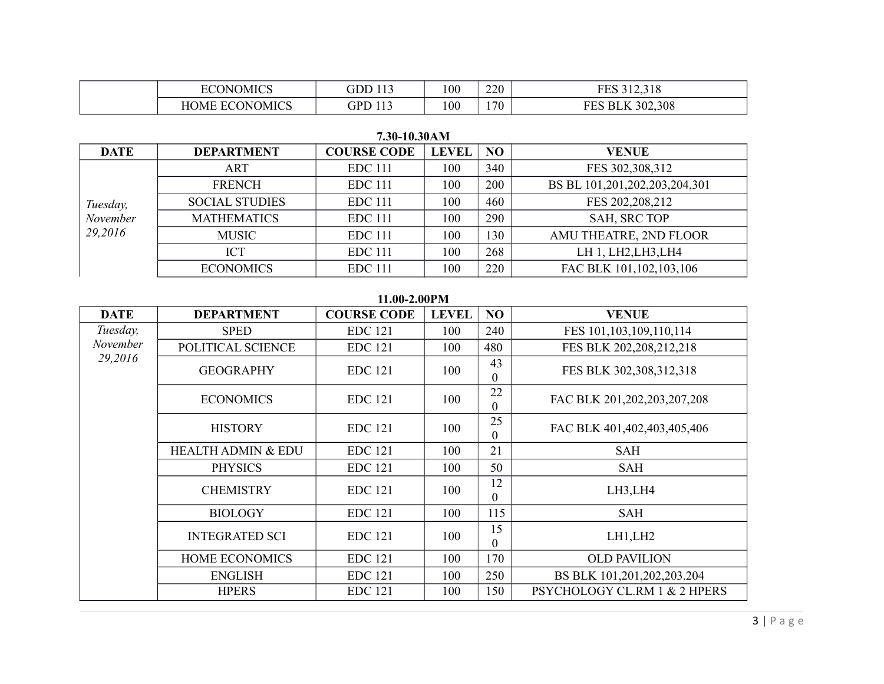| <b>OMICS</b><br>IN.    |                    | 100 | 220<br>∠∠∪ | 12210                        |
|------------------------|--------------------|-----|------------|------------------------------|
| <b>ONOMICS</b><br>JME. | $\cdot$ P $\Gamma$ | 100 | 170        | 302,308<br>$\mathbf{r}$<br>∸ |

| <b>DATE</b>                     | <b>DEPARTMENT</b>     | <b>COURSE CODE</b> | <b>LEVEL</b> | <b>NO</b> | <b>VENUE</b>                  |
|---------------------------------|-----------------------|--------------------|--------------|-----------|-------------------------------|
| Tuesday,<br>November<br>29,2016 | ART                   | <b>EDC</b> 111     | 100          | 340       | FES 302,308,312               |
|                                 | <b>FRENCH</b>         | <b>EDC</b> 111     | 100          | 200       | BS BL 101,201,202,203,204,301 |
|                                 | <b>SOCIAL STUDIES</b> | <b>EDC</b> 111     | 100          | 460       | FES 202, 208, 212             |
|                                 | <b>MATHEMATICS</b>    | <b>EDC</b> 111     | 100          | 290       | <b>SAH, SRC TOP</b>           |
|                                 | <b>MUSIC</b>          | <b>EDC</b> 111     | 100          | 130       | AMU THEATRE, 2ND FLOOR        |
|                                 | <b>ICT</b>            | <b>EDC</b> 111     | 100          | 268       | LH 1, LH2, LH3, LH4           |
|                                 | <b>ECONOMICS</b>      | <b>EDC</b> 111     | 100          | 220       | FAC BLK 101, 102, 103, 106    |

# **7.30-10.30AM**

#### **11.00-2.00PM**

| <b>DATE</b> | <b>DEPARTMENT</b>             | <b>COURSE CODE</b> | <b>LEVEL</b> | NO             | <b>VENUE</b>                 |
|-------------|-------------------------------|--------------------|--------------|----------------|------------------------------|
| Tuesday,    | <b>SPED</b>                   | <b>EDC</b> 121     | 100          | 240            | FES 101, 103, 109, 110, 114  |
| November    | POLITICAL SCIENCE             | <b>EDC</b> 121     | 100          | 480            | FES BLK 202,208,212,218      |
| 29,2016     | <b>GEOGRAPHY</b>              | <b>EDC</b> 121     | 100          | 43<br>$\theta$ | FES BLK 302,308,312,318      |
|             | <b>ECONOMICS</b>              | <b>EDC</b> 121     | 100          | 22<br>$\theta$ | FAC BLK 201,202,203,207,208  |
|             | <b>HISTORY</b>                | <b>EDC</b> 121     | 100          | 25<br>$\Omega$ | FAC BLK 401,402,403,405,406  |
|             | <b>HEALTH ADMIN &amp; EDU</b> | <b>EDC</b> 121     | 100          | 21             | <b>SAH</b>                   |
|             | <b>PHYSICS</b>                | <b>EDC</b> 121     | 100          | 50             | <b>SAH</b>                   |
|             | <b>CHEMISTRY</b>              | <b>EDC</b> 121     | 100          | 12<br>$\theta$ | LH3,LH4                      |
|             | <b>BIOLOGY</b>                | <b>EDC</b> 121     | 100          | 115            | <b>SAH</b>                   |
|             | <b>INTEGRATED SCI</b>         | <b>EDC</b> 121     | 100          | 15<br>$\theta$ | LH1,LH2                      |
|             | <b>HOME ECONOMICS</b>         | <b>EDC</b> 121     | 100          | 170            | <b>OLD PAVILION</b>          |
|             | <b>ENGLISH</b>                | <b>EDC</b> 121     | 100          | 250            | BS BLK 101,201,202,203.204   |
|             | <b>HPERS</b>                  | <b>EDC</b> 121     | 100          | 150            | PSYCHOLOGY CL.RM 1 & 2 HPERS |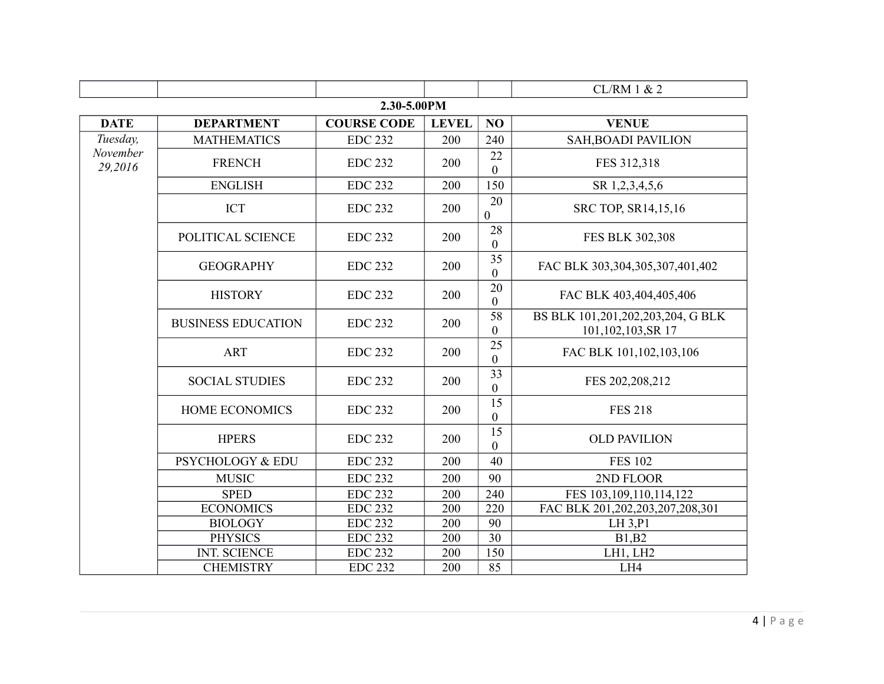|                     |                           |                    |              |                                     | CL/RM 1 & 2                                            |  |  |
|---------------------|---------------------------|--------------------|--------------|-------------------------------------|--------------------------------------------------------|--|--|
| 2.30-5.00PM         |                           |                    |              |                                     |                                                        |  |  |
| <b>DATE</b>         | <b>DEPARTMENT</b>         | <b>COURSE CODE</b> | <b>LEVEL</b> | NO                                  | <b>VENUE</b>                                           |  |  |
| Tuesday,            | <b>MATHEMATICS</b>        | <b>EDC 232</b>     | 200          | 240                                 | <b>SAH, BOADI PAVILION</b>                             |  |  |
| November<br>29,2016 | <b>FRENCH</b>             | <b>EDC 232</b>     | 200          | 22<br>$\mathbf{0}$                  | FES 312,318                                            |  |  |
|                     | <b>ENGLISH</b>            | <b>EDC 232</b>     | 200          | 150                                 | SR 1,2,3,4,5,6                                         |  |  |
|                     | <b>ICT</b>                | <b>EDC 232</b>     | 200          | 20<br>$\mathbf{0}$                  | SRC TOP, SR14,15,16                                    |  |  |
|                     | POLITICAL SCIENCE         | <b>EDC 232</b>     | 200          | 28<br>$\mathbf{0}$                  | FES BLK 302,308                                        |  |  |
|                     | <b>GEOGRAPHY</b>          | <b>EDC 232</b>     | 200          | $\overline{35}$<br>$\boldsymbol{0}$ | FAC BLK 303,304,305,307,401,402                        |  |  |
|                     | <b>HISTORY</b>            | <b>EDC 232</b>     | 200          | 20<br>$\boldsymbol{0}$              | FAC BLK 403,404,405,406                                |  |  |
|                     | <b>BUSINESS EDUCATION</b> | <b>EDC 232</b>     | 200          | 58<br>$\overline{0}$                | BS BLK 101,201,202,203,204, G BLK<br>101,102,103,SR 17 |  |  |
|                     | <b>ART</b>                | <b>EDC 232</b>     | 200          | 25<br>$\boldsymbol{0}$              | FAC BLK 101, 102, 103, 106                             |  |  |
|                     | <b>SOCIAL STUDIES</b>     | <b>EDC 232</b>     | 200          | 33<br>$\boldsymbol{0}$              | FES 202,208,212                                        |  |  |
|                     | <b>HOME ECONOMICS</b>     | <b>EDC 232</b>     | 200          | 15<br>$\boldsymbol{0}$              | <b>FES 218</b>                                         |  |  |
|                     | <b>HPERS</b>              | <b>EDC 232</b>     | 200          | 15<br>$\boldsymbol{0}$              | <b>OLD PAVILION</b>                                    |  |  |
|                     | PSYCHOLOGY & EDU          | <b>EDC 232</b>     | 200          | 40                                  | <b>FES 102</b>                                         |  |  |
|                     | <b>MUSIC</b>              | <b>EDC 232</b>     | 200          | 90                                  | 2ND FLOOR                                              |  |  |
|                     | <b>SPED</b>               | <b>EDC 232</b>     | 200          | 240                                 | FES 103, 109, 110, 114, 122                            |  |  |
|                     | <b>ECONOMICS</b>          | <b>EDC 232</b>     | 200          | 220                                 | FAC BLK 201,202,203,207,208,301                        |  |  |
|                     | <b>BIOLOGY</b>            | <b>EDC 232</b>     | 200          | 90                                  | LH 3, P1                                               |  |  |
|                     | <b>PHYSICS</b>            | <b>EDC 232</b>     | 200          | 30                                  | <b>B1,B2</b>                                           |  |  |
|                     | <b>INT. SCIENCE</b>       | <b>EDC 232</b>     | 200          | 150                                 | LH1, LH2                                               |  |  |
|                     | <b>CHEMISTRY</b>          | <b>EDC 232</b>     | 200          | 85                                  | LH4                                                    |  |  |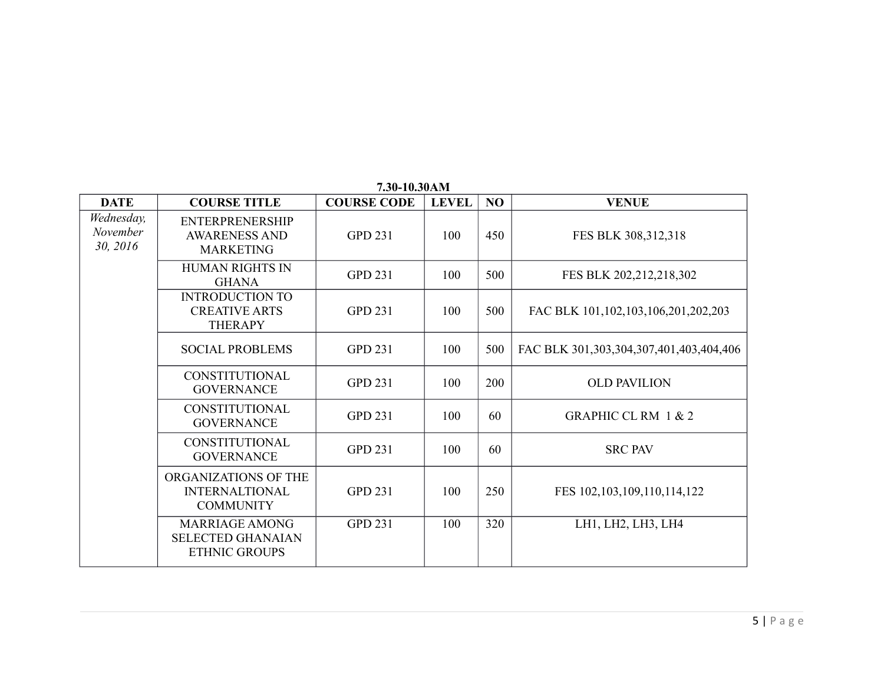|                                    |                                                                           | 7.30-10.30AM       |              |     |                                           |
|------------------------------------|---------------------------------------------------------------------------|--------------------|--------------|-----|-------------------------------------------|
| <b>DATE</b>                        | <b>COURSE TITLE</b>                                                       | <b>COURSE CODE</b> | <b>LEVEL</b> | NO  | <b>VENUE</b>                              |
| Wednesday,<br>November<br>30, 2016 | <b>ENTERPRENERSHIP</b><br><b>AWARENESS AND</b><br><b>MARKETING</b>        | <b>GPD 231</b>     | 100          | 450 | FES BLK 308,312,318                       |
|                                    | <b>HUMAN RIGHTS IN</b><br><b>GHANA</b>                                    | <b>GPD 231</b>     | 100          | 500 | FES BLK 202,212,218,302                   |
|                                    | <b>INTRODUCTION TO</b><br><b>CREATIVE ARTS</b><br><b>THERAPY</b>          | <b>GPD 231</b>     | 100          | 500 | FAC BLK 101, 102, 103, 106, 201, 202, 203 |
|                                    | <b>SOCIAL PROBLEMS</b>                                                    | <b>GPD 231</b>     | 100          | 500 | FAC BLK 301,303,304,307,401,403,404,406   |
|                                    | <b>CONSTITUTIONAL</b><br><b>GOVERNANCE</b>                                | <b>GPD 231</b>     | 100          | 200 | <b>OLD PAVILION</b>                       |
|                                    | CONSTITUTIONAL<br><b>GOVERNANCE</b>                                       | <b>GPD 231</b>     | 100          | 60  | <b>GRAPHIC CL RM 1 &amp; 2</b>            |
|                                    | <b>CONSTITUTIONAL</b><br><b>GOVERNANCE</b>                                | <b>GPD 231</b>     | 100          | 60  | <b>SRC PAV</b>                            |
|                                    | ORGANIZATIONS OF THE<br><b>INTERNALTIONAL</b><br><b>COMMUNITY</b>         | <b>GPD 231</b>     | 100          | 250 | FES 102, 103, 109, 110, 114, 122          |
|                                    | <b>MARRIAGE AMONG</b><br><b>SELECTED GHANAIAN</b><br><b>ETHNIC GROUPS</b> | <b>GPD 231</b>     | 100          | 320 | LH1, LH2, LH3, LH4                        |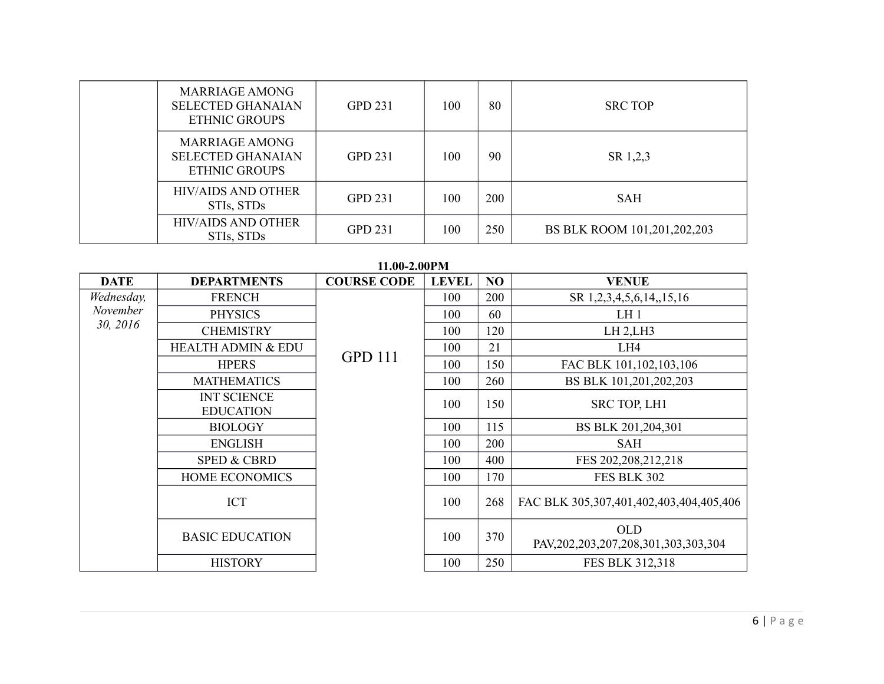| <b>MARRIAGE AMONG</b><br><b>SELECTED GHANAIAN</b><br><b>ETHNIC GROUPS</b> | <b>GPD 231</b> | 100 | 80  | <b>SRC TOP</b>              |
|---------------------------------------------------------------------------|----------------|-----|-----|-----------------------------|
| MARRIAGE AMONG<br><b>SELECTED GHANAIAN</b><br><b>ETHNIC GROUPS</b>        | <b>GPD 231</b> | 100 | 90  | SR 1,2,3                    |
| <b>HIV/AIDS AND OTHER</b><br>STIs, STDs                                   | <b>GPD 231</b> | 100 | 200 | SAH                         |
| <b>HIV/AIDS AND OTHER</b><br>STIs, STDs                                   | <b>GPD 231</b> | 100 | 250 | BS BLK ROOM 101,201,202,203 |

**DATE** DEPARTMENTS **COURSE CODE LEVEL NO VENUE** *Wednesday, November 30, 2016* FRENCH GPD 111 100 | 200 | SR 1,2,3,4,5,6,14,,15,16 PHYSICS 100 60 LH 1 CHEMISTRY 100 120 LH 2,LH3 HEALTH ADMIN & EDU  $\begin{array}{|c|c|c|c|c|c|c|c|c|} \hline & 100 & 21 & \hline \end{array}$ HPERS **UPP 111** 100 150 FAC BLK 101,102,103,106 MATHEMATICS 100 260 BS BLK 101,201,202,203 INT SCIENCE EDUCATION 100 150 SRC TOP, LH1 BIOLOGY 100 115 BS BLK 201,204,301 ENGLISH 100 200 SAH SPED & CBRD 100 400 FES 202,208,212,218 HOME ECONOMICS 100 170 FES BLK 302 ICT 100 268 FAC BLK 305,307,401,402,403,404,405,406 BASIC EDUCATION <sup>100</sup> <sup>370</sup> OLD PAV,202,203,207,208,301,303,303,304 HISTORY 100 250 FES BLK 312,318

#### **11.00-2.00PM**